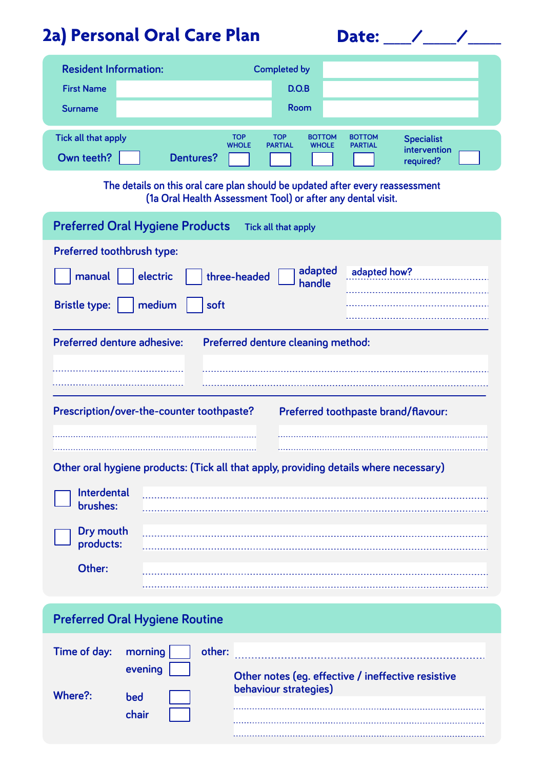## **2a) Personal Oral Care Plan**

| Date: |  |
|-------|--|
|       |  |

| <b>Resident Information:</b>                                                                                                                 |                            | <b>Completed by</b>                                           |                                 |                                                |
|----------------------------------------------------------------------------------------------------------------------------------------------|----------------------------|---------------------------------------------------------------|---------------------------------|------------------------------------------------|
| <b>First Name</b>                                                                                                                            |                            | D.O.B                                                         |                                 |                                                |
| <b>Surname</b>                                                                                                                               |                            | Room                                                          |                                 |                                                |
| Tick all that apply<br>Own teeth?<br><b>Dentures?</b>                                                                                        | <b>TOP</b><br><b>WHOLE</b> | <b>TOP</b><br><b>BOTTOM</b><br><b>PARTIAL</b><br><b>WHOLE</b> | <b>BOTTOM</b><br><b>PARTIAL</b> | <b>Specialist</b><br>intervention<br>required? |
| The details on this oral care plan should be updated after every reassessment<br>(1a Oral Health Assessment Tool) or after any dental visit. |                            |                                                               |                                 |                                                |
| <b>Preferred Oral Hygiene Products</b><br>Tick all that apply                                                                                |                            |                                                               |                                 |                                                |
| Preferred toothbrush type:                                                                                                                   |                            |                                                               |                                 |                                                |
| adapted<br>adapted how?<br>electric<br>manual<br>three-headed<br>handle                                                                      |                            |                                                               |                                 |                                                |
| medium<br><b>Bristle type:</b>                                                                                                               | soft                       |                                                               |                                 |                                                |

| <b>Preferred denture adhesive:</b>        |  | Preferred denture cleaning method:  |
|-------------------------------------------|--|-------------------------------------|
|                                           |  |                                     |
|                                           |  |                                     |
| Prescription/over-the-counter toothpaste? |  | Preferred toothpaste brand/flavour: |
|                                           |  |                                     |

**Other oral hygiene products: (Tick all that apply, providing details where necessary)**

| Interdental<br>University |  |
|---------------------------|--|
| Dry mouth<br>products:    |  |
| Other:                    |  |

## **Preferred Oral Hygiene Routine**

| Time of day: morning | other:  |                                                    |
|----------------------|---------|----------------------------------------------------|
|                      | evening | Other notes (eg. effective / ineffective resistive |
| Where?:              | bed     | behaviour strategies)                              |
|                      | chair   |                                                    |
|                      |         |                                                    |